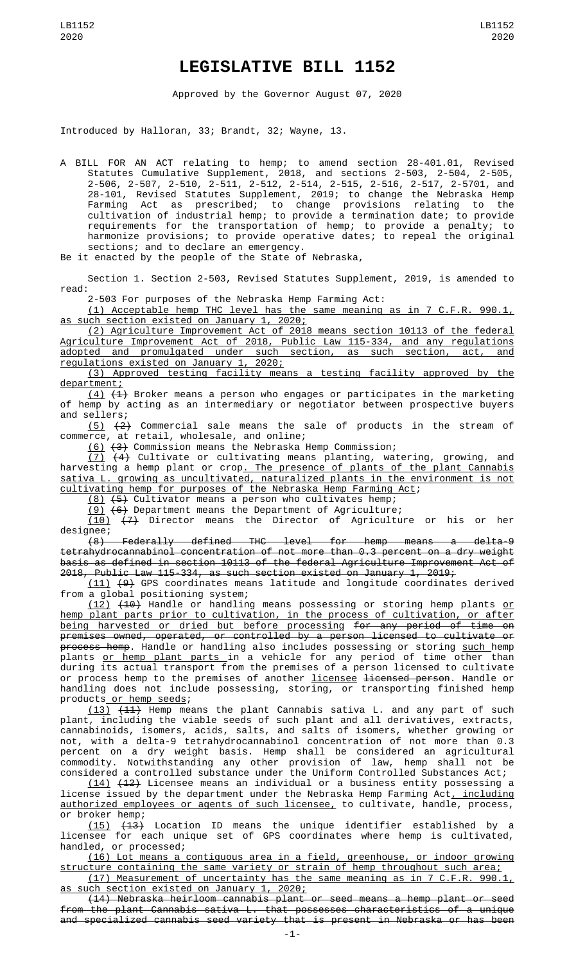## **LEGISLATIVE BILL 1152**

Approved by the Governor August 07, 2020

Introduced by Halloran, 33; Brandt, 32; Wayne, 13.

A BILL FOR AN ACT relating to hemp; to amend section 28-401.01, Revised Statutes Cumulative Supplement, 2018, and sections 2-503, 2-504, 2-505, 2-506, 2-507, 2-510, 2-511, 2-512, 2-514, 2-515, 2-516, 2-517, 2-5701, and 28-101, Revised Statutes Supplement, 2019; to change the Nebraska Hemp Farming Act as prescribed; to change provisions relating to the cultivation of industrial hemp; to provide a termination date; to provide requirements for the transportation of hemp; to provide a penalty; to harmonize provisions; to provide operative dates; to repeal the original sections; and to declare an emergency.

Be it enacted by the people of the State of Nebraska,

Section 1. Section 2-503, Revised Statutes Supplement, 2019, is amended to read:

2-503 For purposes of the Nebraska Hemp Farming Act:

(1) Acceptable hemp THC level has the same meaning as in 7 C.F.R. 990.1, such section existed on January 1, 2020;

(2) Agriculture Improvement Act of 2018 means section 10113 of the federal Agriculture Improvement Act of 2018, Public Law 115-334, and any regulations adopted and promulgated under such section, as such section, act, and regulations existed on January 1, 2020;

(3) Approved testing facility means a testing facility approved by the department;

 $(4)$   $(4)$  Broker means a person who engages or participates in the marketing of hemp by acting as an intermediary or negotiator between prospective buyers and sellers;

(5) (2) Commercial sale means the sale of products in the stream of commerce, at retail, wholesale, and online;

(6) (3) Commission means the Nebraska Hemp Commission;

(7) (4) Cultivate or cultivating means planting, watering, growing, and harvesting a hemp plant or crop<u>. The presence of plants of the plant Cannabis</u> sativa L. growing as uncultivated, naturalized plants in the environment is not cultivating hemp for purposes of the Nebraska Hemp Farming Act;

(8) (5) Cultivator means a person who cultivates hemp;

 $(9)$   $(6)$  Department means the Department of Agriculture;

(10) (7) Director means the Director of Agriculture or his or her designee;

(8) Federally defined THC level for hemp means a delta-9 tetrahydrocannabinol concentration of not more than 0.3 percent on a dry weight basis as defined in section 10113 of the federal Agriculture Improvement Act of  $2018$ , Public Law 115-334, as such section existed on January 1, 2019;

(11) (9) GPS coordinates means latitude and longitude coordinates derived from a global positioning system;

<u>(12)</u> <del>(10)</del> Handle or handling means possessing or storing hemp plants <u>or</u> hemp plant parts prior to cultivation, in the process of cultivation, or after being harvested or dried but before processing for any period of time on premises owned, operated, or controlled by a person licensed to cultivate or <del>process hemp</del>. Handle or handling also includes possessing or storing <u>such </u>hemp plants <u>or hemp plant parts </u>in a vehicle for any period of time other than during its actual transport from the premises of a person licensed to cultivate or process hemp to the premises of another *licensee* <del>licensed person</del>. Handle or handling does not include possessing, storing, or transporting finished hemp products or hemp seeds;

(13) (11) Hemp means the plant Cannabis sativa L. and any part of such plant, including the viable seeds of such plant and all derivatives, extracts, cannabinoids, isomers, acids, salts, and salts of isomers, whether growing or not, with a delta-9 tetrahydrocannabinol concentration of not more than 0.3 percent on a dry weight basis. Hemp shall be considered an agricultural commodity. Notwithstanding any other provision of law, hemp shall not be considered a controlled substance under the Uniform Controlled Substances Act;

(14) (12) Licensee means an individual or a business entity possessing a license issued by the department under the Nebraska Hemp Farming Act, including authorized employees or agents of such licensee, to cultivate, handle, process, or broker hemp;<br> $(15)$   $(13)$ 

Location ID means the unique identifier established by a licensee for each unique set of GPS coordinates where hemp is cultivated, handled, or processed;

(16) Lot means a contiguous area in a field, greenhouse, or indoor growing structure containing the same variety or strain of hemp throughout such area; (17) Measurement of uncertainty has the same meaning as in 7 C.F.R. 990.1,

as such section existed on January 1, 2020;

(14) Nebraska heirloom cannabis plant or seed means a hemp plant or seed from the plant Cannabis sativa L. that possesses characteristics of a unique and specialized cannabis seed variety that is present in Nebraska or has been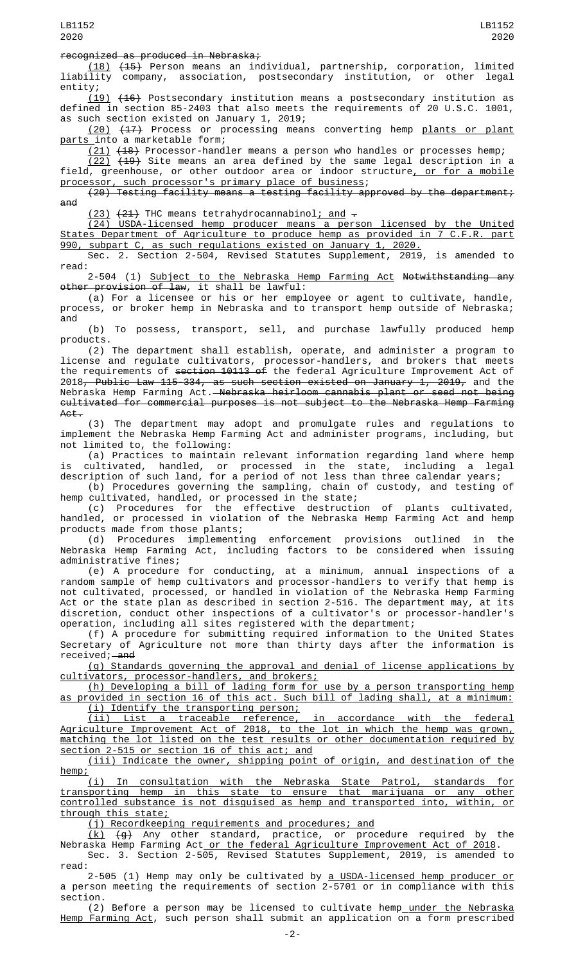## recognized as produced in Nebraska;

(18) (15) Person means an individual, partnership, corporation, limited liability company, association, postsecondary institution, or other legal entity;

(19) (16) Postsecondary institution means a postsecondary institution as defined in section 85-2403 that also meets the requirements of 20 U.S.C. 1001, as such section existed on January 1, 2019;

<u>(20)</u> <del>(17)</del> Process or processing means converting hemp <u>plants or plant</u> parts into a marketable form;

(21) (18) Processor-handler means a person who handles or processes hemp; (22) (19) Site means an area defined by the same legal description in a field, greenhouse, or other outdoor area or indoor structure<u>, or for a mobile</u>

processor, such processor's primary place of business; (20) Testing facility means a testing facility approved by the department;

and

 $(23)$   $(24)$  THC means tetrahydrocannabinol; and  $\overline{z}$ 

(24) USDA-licensed hemp producer means a person licensed by the United States Department of Agriculture to produce hemp as provided in 7 C.F.R. part 990, subpart C, as such regulations existed on January 1, 2020.

Sec. 2. Section 2-504, Revised Statutes Supplement, 2019, is amended to read:

2-504 (1) <u>Subject to the Nebraska Hemp Farming Act</u> <del>Notwithstanding any</del> other provision of law, it shall be lawful:

(a) For a licensee or his or her employee or agent to cultivate, handle, process, or broker hemp in Nebraska and to transport hemp outside of Nebraska; and

(b) To possess, transport, sell, and purchase lawfully produced hemp products.

(2) The department shall establish, operate, and administer a program to license and regulate cultivators, processor-handlers, and brokers that meets the requirements of section 10113 of the federal Agriculture Improvement Act of 2018<del>, Public Law 115-334, as such section existed on January 1, 2019,</del> and the Nebraska Hemp Farming Act.—<del>Nebraska heirloom cannabis plant or seed not being</del> cultivated for commercial purposes is not subject to the Nebraska Hemp Farming Act.

(3) The department may adopt and promulgate rules and regulations to implement the Nebraska Hemp Farming Act and administer programs, including, but not limited to, the following:

(a) Practices to maintain relevant information regarding land where hemp is cultivated, handled, or processed in the state, including a legal description of such land, for a period of not less than three calendar years;

(b) Procedures governing the sampling, chain of custody, and testing of hemp cultivated, handled, or processed in the state;

(c) Procedures for the effective destruction of plants cultivated, handled, or processed in violation of the Nebraska Hemp Farming Act and hemp products made from those plants;

(d) Procedures implementing enforcement provisions outlined in the Nebraska Hemp Farming Act, including factors to be considered when issuing administrative fines;

(e) A procedure for conducting, at a minimum, annual inspections of a random sample of hemp cultivators and processor-handlers to verify that hemp is not cultivated, processed, or handled in violation of the Nebraska Hemp Farming Act or the state plan as described in section 2-516. The department may, at its discretion, conduct other inspections of a cultivator's or processor-handler's operation, including all sites registered with the department;

(f) A procedure for submitting required information to the United States Secretary of Agriculture not more than thirty days after the information is received;—<del>and</del>

(g) Standards governing the approval and denial of license applications by cultivators, processor-handlers, and brokers;

(h) Developing a bill of lading form for use by a person transporting hemp as provided in section 16 of this act. Such bill of lading shall, at a minimum: (i) Identify the transporting person;

(ii) List a traceable reference, in accordance with the federal Agriculture Improvement Act of 2018, to the lot in which the hemp was grown, matching the lot listed on the test results or other documentation required by section 2-515 or section 16 of this act; and

(iii) Indicate the owner, shipping point of origin, and destination of the hemp;

(i) In consultation with the Nebraska State Patrol, standards for transporting hemp in this state to ensure that marijuana or any other controlled substance is not disguised as hemp and transported into, within, or through this state;

(j) Recordkeeping requirements and procedures; and

 $(k)$   $(q)$  Any other standard, practice, or procedure required by the Nebraska Hemp Farming Act or the federal Agriculture Improvement Act of 2018.

Sec. 3. Section 2-505, Revised Statutes Supplement, 2019, is amended to read:

2-505 (1) Hemp may only be cultivated by <u>a USDA-licensed hemp producer or</u> a person meeting the requirements of section 2-5701 or in compliance with this section.

(2) Before a person may be licensed to cultivate hemp\_under the Nebraska Hemp Farming Act, such person shall submit an application on a form prescribed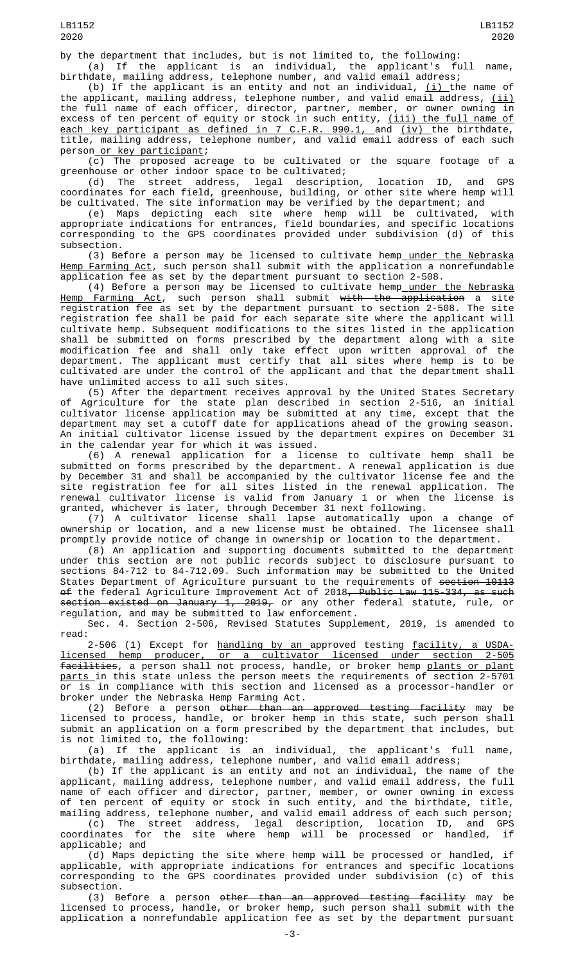by the department that includes, but is not limited to, the following: (a) If the applicant is an individual, the applicant's full name,

birthdate, mailing address, telephone number, and valid email address; (b) If the applicant is an entity and not an individual,  $(i)$  the name of the applicant, mailing address, telephone number, and valid email address,  $(i)$ the full name of each officer, director, partner, member, or owner owning in excess of ten percent of equity or stock in such entity, <u>(iii) the full name of</u> <u>each key participant as defined in 7 C.F.R. 990.1, a</u>nd <u>(iv) </u>the birthdate, title, mailing address, telephone number, and valid email address of each such person or key participant;

(c) The proposed acreage to be cultivated or the square footage of a greenhouse or other indoor space to be cultivated;

(d) The street address, legal description, location ID, and GPS coordinates for each field, greenhouse, building, or other site where hemp will be cultivated. The site information may be verified by the department; and

(e) Maps depicting each site where hemp will be cultivated, with appropriate indications for entrances, field boundaries, and specific locations corresponding to the GPS coordinates provided under subdivision (d) of this subsection.

(3) Before a person may be licensed to cultivate hemp\_under the Nebraska Hemp Farming Act, such person shall submit with the application a nonrefundable application fee as set by the department pursuant to section 2-508.

(4) Before a person may be licensed to cultivate hemp<u> under the Nebraska</u> Hemp Farming Act, such person shall submit with the application a site registration fee as set by the department pursuant to section 2-508. The site registration fee shall be paid for each separate site where the applicant will cultivate hemp. Subsequent modifications to the sites listed in the application shall be submitted on forms prescribed by the department along with a site modification fee and shall only take effect upon written approval of the department. The applicant must certify that all sites where hemp is to be cultivated are under the control of the applicant and that the department shall have unlimited access to all such sites.

(5) After the department receives approval by the United States Secretary of Agriculture for the state plan described in section 2-516, an initial cultivator license application may be submitted at any time, except that the department may set a cutoff date for applications ahead of the growing season. An initial cultivator license issued by the department expires on December 31 in the calendar year for which it was issued.

(6) A renewal application for a license to cultivate hemp shall be submitted on forms prescribed by the department. A renewal application is due by December 31 and shall be accompanied by the cultivator license fee and the site registration fee for all sites listed in the renewal application. The renewal cultivator license is valid from January 1 or when the license is granted, whichever is later, through December 31 next following.

(7) A cultivator license shall lapse automatically upon a change of ownership or location, and a new license must be obtained. The licensee shall promptly provide notice of change in ownership or location to the department.

(8) An application and supporting documents submitted to the department under this section are not public records subject to disclosure pursuant to sections 84-712 to 84-712.09. Such information may be submitted to the United States Department of Agriculture pursuant to the requirements of section 10113 <del>of</del> the federal Agriculture Improvement Act of 2018<del>, Public Law 115-334, as such</del> section existed on January 1, 2019, or any other federal statute, rule, or regulation, and may be submitted to law enforcement.

Sec. 4. Section 2-506, Revised Statutes Supplement, 2019, is amended to read:

2-506 (1) Except for handling by an approved testing facility, a USDAlicensed hemp producer, or a cultivator licensed under section 2-505 facilities, a person shall not process, handle, or broker hemp plants or plant parts in this state unless the person meets the requirements of section 2-5701 or is in compliance with this section and licensed as a processor-handler or broker under the Nebraska Hemp Farming Act.

(2) Before a person <del>other than an approved testing facility</del> may be licensed to process, handle, or broker hemp in this state, such person shall submit an application on a form prescribed by the department that includes, but is not limited to, the following:

(a) If the applicant is an individual, the applicant's full name, birthdate, mailing address, telephone number, and valid email address;

(b) If the applicant is an entity and not an individual, the name of the applicant, mailing address, telephone number, and valid email address, the full name of each officer and director, partner, member, or owner owning in excess of ten percent of equity or stock in such entity, and the birthdate, title, mailing address, telephone number, and valid email address of each such person;

(c) The street address, legal description, location ID, and GPS coordinates for the site where hemp will be processed or handled, if applicable; and

(d) Maps depicting the site where hemp will be processed or handled, if applicable, with appropriate indications for entrances and specific locations corresponding to the GPS coordinates provided under subdivision (c) of this subsection.

(3) Before a person other than an approved testing facility may be licensed to process, handle, or broker hemp, such person shall submit with the application a nonrefundable application fee as set by the department pursuant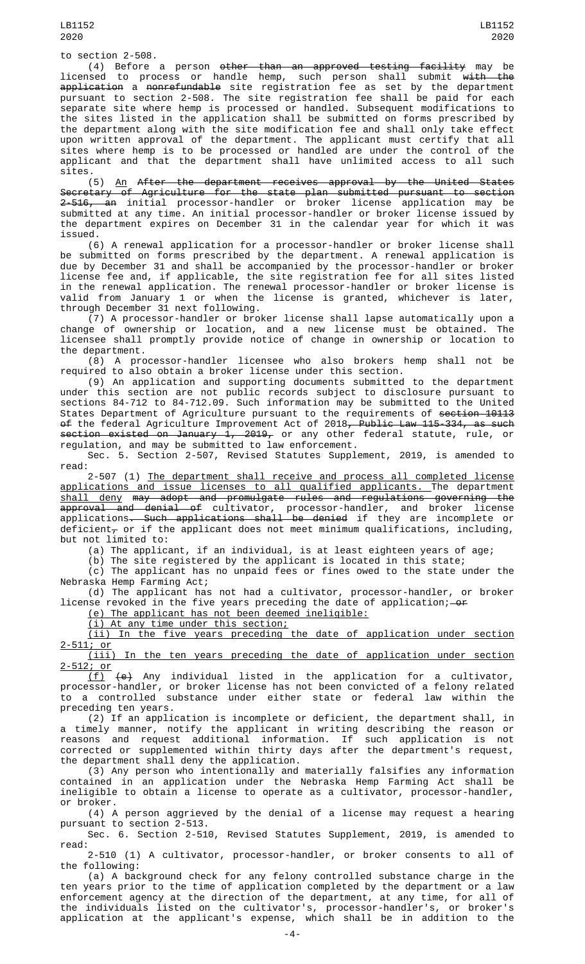(4) Before a person <del>other than an approved testing facility</del> may be licensed to process or handle hemp, such person shall submit <del>with the</del> application a nonrefundable site registration fee as set by the department pursuant to section 2-508. The site registration fee shall be paid for each separate site where hemp is processed or handled. Subsequent modifications to the sites listed in the application shall be submitted on forms prescribed by the department along with the site modification fee and shall only take effect upon written approval of the department. The applicant must certify that all sites where hemp is to be processed or handled are under the control of the applicant and that the department shall have unlimited access to all such sites.

(5) An After the department receives approval by the United States Secretary of Agriculture for the state plan submitted pursuant to section <del>2-516, an</del> initial processor-handler or broker license application may be submitted at any time. An initial processor-handler or broker license issued by the department expires on December 31 in the calendar year for which it was issued.

(6) A renewal application for a processor-handler or broker license shall be submitted on forms prescribed by the department. A renewal application is due by December 31 and shall be accompanied by the processor-handler or broker license fee and, if applicable, the site registration fee for all sites listed in the renewal application. The renewal processor-handler or broker license is valid from January 1 or when the license is granted, whichever is later, through December 31 next following.

(7) A processor-handler or broker license shall lapse automatically upon a change of ownership or location, and a new license must be obtained. The licensee shall promptly provide notice of change in ownership or location to the department.

(8) A processor-handler licensee who also brokers hemp shall not be required to also obtain a broker license under this section.

(9) An application and supporting documents submitted to the department under this section are not public records subject to disclosure pursuant to sections 84-712 to 84-712.09. Such information may be submitted to the United States Department of Agriculture pursuant to the requirements of <del>section 10113</del> <del>of</del> the federal Agriculture Improvement Act of 2018<del>, Public Law 115-334, as such</del> section existed on January 1, 2019, or any other federal statute, rule, or regulation, and may be submitted to law enforcement.

Sec. 5. Section 2-507, Revised Statutes Supplement, 2019, is amended to read:

2-507 (1) The department shall receive and process all completed license applications and issue licenses to all qualified applicants. The department shall deny may adopt and promulgate rules and regulations governing the approval and denial of cultivator, processor-handler, and broker license applications<del>. Such applications shall be denied</del> if they are incomplete or deficient<sub> $\tau$ </sub> or if the applicant does not meet minimum qualifications, including, but not limited to:

(a) The applicant, if an individual, is at least eighteen years of age;

(b) The site registered by the applicant is located in this state;

(c) The applicant has no unpaid fees or fines owed to the state under the Nebraska Hemp Farming Act;

(d) The applicant has not had a cultivator, processor-handler, or broker license revoked in the five years preceding the date of application;—<del>or</del>

(e) The applicant has not been deemed ineligible:

(i) At any time under this section;

(ii) In the five years preceding the date of application under section 2-511; or

In the ten years preceding the date of application under section 2-512; or

(f) (e) Any individual listed in the application for a cultivator, processor-handler, or broker license has not been convicted of a felony related to a controlled substance under either state or federal law within the preceding ten years.

(2) If an application is incomplete or deficient, the department shall, in a timely manner, notify the applicant in writing describing the reason or reasons and request additional information. If such application is not corrected or supplemented within thirty days after the department's request, the department shall deny the application.

(3) Any person who intentionally and materially falsifies any information contained in an application under the Nebraska Hemp Farming Act shall be ineligible to obtain a license to operate as a cultivator, processor-handler, or broker.

(4) A person aggrieved by the denial of a license may request a hearing pursuant to section 2-513.

Sec. 6. Section 2-510, Revised Statutes Supplement, 2019, is amended to read:

2-510 (1) A cultivator, processor-handler, or broker consents to all of the following:

(a) A background check for any felony controlled substance charge in the ten years prior to the time of application completed by the department or a law enforcement agency at the direction of the department, at any time, for all of the individuals listed on the cultivator's, processor-handler's, or broker's application at the applicant's expense, which shall be in addition to the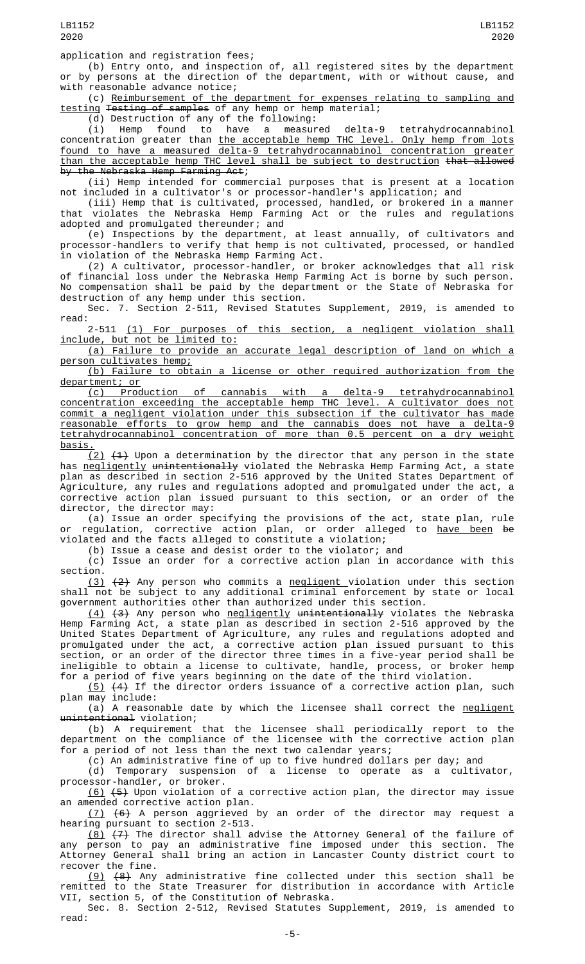## application and registration fees;

(b) Entry onto, and inspection of, all registered sites by the department or by persons at the direction of the department, with or without cause, and with reasonable advance notice;

(c) Reimbursement of the department for expenses relating to sampling and testing Testing of samples of any hemp or hemp material;

(d) Destruction of any of the following:

(i) Hemp found to have a measured delta-9 tetrahydrocannabinol (i) Hemp found to have a measured delta-9 tetrahydrocannabinol concentration greater than the acceptable hemp THC level. Only hemp from lots found to have a measured delta-9 tetrahydrocannabinol concentration greater than the acceptable hemp THC level shall be subject to destruction that allowed by the Nebraska Hemp Farming Act;

(ii) Hemp intended for commercial purposes that is present at a location not included in a cultivator's or processor-handler's application; and

(iii) Hemp that is cultivated, processed, handled, or brokered in a manner that violates the Nebraska Hemp Farming Act or the rules and regulations adopted and promulgated thereunder; and

(e) Inspections by the department, at least annually, of cultivators and processor-handlers to verify that hemp is not cultivated, processed, or handled in violation of the Nebraska Hemp Farming Act.

(2) A cultivator, processor-handler, or broker acknowledges that all risk of financial loss under the Nebraska Hemp Farming Act is borne by such person. No compensation shall be paid by the department or the State of Nebraska for destruction of any hemp under this section.

Sec. 7. Section 2-511, Revised Statutes Supplement, 2019, is amended to read:

2-511 (1) For purposes of this section, a negligent violation shall include, but not be limited to:

(a) Failure to provide an accurate legal description of land on which a person cultivates hemp;

(b) Failure to obtain a license or other required authorization from the department; or

(c) Production of cannabis with a delta-9 tetrahydrocannabinol concentration exceeding the acceptable hemp THC level. A cultivator does not commit a negligent violation under this subsection if the cultivator has made reasonable efforts to grow hemp and the cannabis does not have a delta-9 tetrahydrocannabinol concentration of more than 0.5 percent on a dry weight <u>basis</u>

 $(2)$   $(1)$  Upon a determination by the director that any person in the state has negligently unintentionally violated the Nebraska Hemp Farming Act, a state plan as described in section 2-516 approved by the United States Department of Agriculture, any rules and regulations adopted and promulgated under the act, a corrective action plan issued pursuant to this section, or an order of the director, the director may:

(a) Issue an order specifying the provisions of the act, state plan, rule or regulation, corrective action plan, or order alleged to <u>have been</u> <del>be</del> violated and the facts alleged to constitute a violation;

(b) Issue a cease and desist order to the violator; and

(c) Issue an order for a corrective action plan in accordance with this section.

(3) (2) Any person who commits a negligent violation under this section shall not be subject to any additional criminal enforcement by state or local government authorities other than authorized under this section.

<u>(4)</u> <del>(3)</del> Any person who <u>negligently</u> <del>unintentionally</del> violates the Nebraska Hemp Farming Act, a state plan as described in section 2-516 approved by the United States Department of Agriculture, any rules and regulations adopted and promulgated under the act, a corrective action plan issued pursuant to this section, or an order of the director three times in a five-year period shall be ineligible to obtain a license to cultivate, handle, process, or broker hemp for a period of five years beginning on the date of the third violation.

<u>(5)</u>  $(4)$  If the director orders issuance of a corrective action plan, such plan may include:

(a) A reasonable date by which the licensee shall correct the <u>negligent</u> unintentional violation;

(b) A requirement that the licensee shall periodically report to the department on the compliance of the licensee with the corrective action plan for a period of not less than the next two calendar years;

(c) An administrative fine of up to five hundred dollars per day; and

(d) Temporary suspension of a license to operate as a cultivator, processor-handler, or broker.

(6) (5) Upon violation of a corrective action plan, the director may issue an amended corrective action plan.

(7) (6) A person aggrieved by an order of the director may request a hearing pursuant to section 2-513.

<u>(8)</u> <del>(7)</del> The director shall advise the Attorney General of the failure of any person to pay an administrative fine imposed under this section. The Attorney General shall bring an action in Lancaster County district court to recover the fine.

 $(9)$   $(8)$  Any administrative fine collected under this section shall be remitted to the State Treasurer for distribution in accordance with Article VII, section 5, of the Constitution of Nebraska.

Sec. 8. Section 2-512, Revised Statutes Supplement, 2019, is amended to read: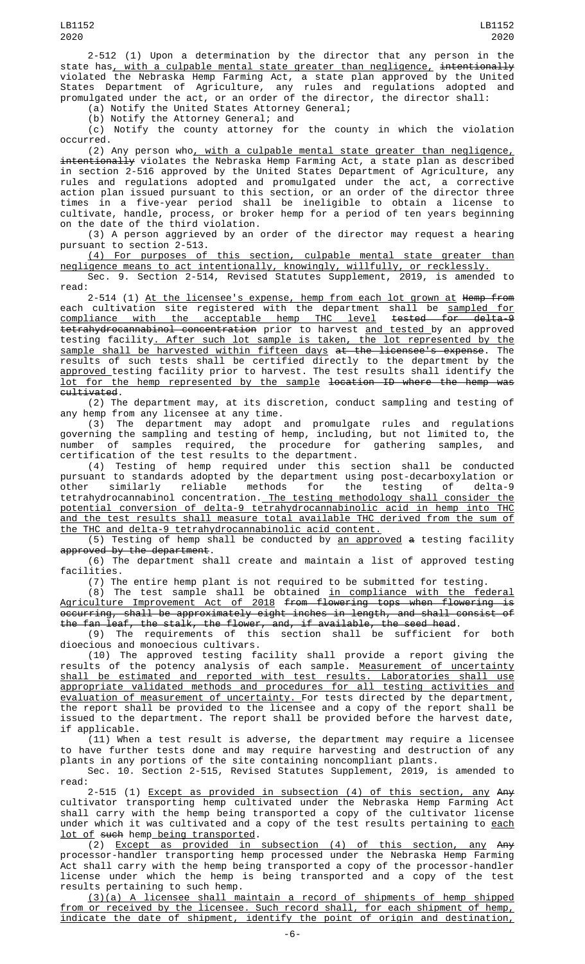2-512 (1) Upon a determination by the director that any person in the state has<u>, with a culpable mental state greater than negligence,</u> <del>intentionally</del> violated the Nebraska Hemp Farming Act, a state plan approved by the United States Department of Agriculture, any rules and regulations adopted and promulgated under the act, or an order of the director, the director shall:

(a) Notify the United States Attorney General;

(b) Notify the Attorney General; and

(c) Notify the county attorney for the county in which the violation occurred.

(2) Any person who, with a culpable mental state greater than negligence, intentionally violates the Nebraska Hemp Farming Act, a state plan as described in section 2-516 approved by the United States Department of Agriculture, any rules and regulations adopted and promulgated under the act, a corrective action plan issued pursuant to this section, or an order of the director three times in a five-year period shall be ineligible to obtain a license to cultivate, handle, process, or broker hemp for a period of ten years beginning on the date of the third violation.

(3) A person aggrieved by an order of the director may request a hearing pursuant to section  $\check{2}$ -513.

(4) For purposes of this section, culpable mental state greater than negligence means to act intentionally, knowingly, willfully, or recklessly.

Sec. 9. Section 2-514, Revised Statutes Supplement, 2019, is amended to read:

2-514 (1) <u>At the licensee's expense, hemp from each lot grown at</u> <del>Hemp from</del> each cultivation site registered with the department shall be <u>sampled for</u> compliance with the acceptable hemp THC level tested for delta-9 tetrahydrocannabinol concentration prior to harvest and tested by an approved testing facility. After such lot sample is taken, the lot represented by the sample shall be harvested within fifteen days at the licensee's expense. The results of such tests shall be certified directly to the department by the approved testing facility prior to harvest. The test results shall identify the lot for the hemp represented by the sample location ID where the hemp was cultivated.

(2) The department may, at its discretion, conduct sampling and testing of any hemp from any licensee at any time.

(3) The department may adopt and promulgate rules and regulations governing the sampling and testing of hemp, including, but not limited to, the number of samples required, the procedure for gathering samples, and certification of the test results to the department.

(4) Testing of hemp required under this section shall be conducted pursuant to standards adopted by the department using post-decarboxylation or other similarly reliable methods for the testing of delta-9 tetrahydrocannabinol concentration. The testing methodology shall consider the potential conversion of delta-9 tetrahydrocannabinolic acid in hemp into THC and the test results shall measure total available THC derived from the sum of the THC and delta-9 tetrahydrocannabinolic acid content.

(5) Testing of hemp shall be conducted by an approved a testing facility approved by the department.

(6) The department shall create and maintain a list of approved testing facilities.

(7) The entire hemp plant is not required to be submitted for testing.

(8) The test sample shall be obtained in compliance with the federal Agriculture Improvement Act of 2018 from flowering tops when flowering is occurring, shall be approximately eight inches in length, and shall consist of the fan leaf, the stalk, the flower, and, if available, the seed head.

(9) The requirements of this section shall be sufficient for both dioecious and monoecious cultivars.

(10) The approved testing facility shall provide a report giving the results of the potency analysis of each sample. <u>Measurement of uncertainty</u> shall be estimated and reported with test results. Laboratories shall use appropriate validated methods and procedures for all testing activities and evaluation of measurement of uncertainty. For tests directed by the department, the report shall be provided to the licensee and a copy of the report shall be issued to the department. The report shall be provided before the harvest date, if applicable.

(11) When a test result is adverse, the department may require a licensee to have further tests done and may require harvesting and destruction of any plants in any portions of the site containing noncompliant plants.

Sec. 10. Section 2-515, Revised Statutes Supplement, 2019, is amended to read:

2-515 (1) <u>Except as provided in subsection (4) of this section, any</u> <del>Any</del> cultivator transporting hemp cultivated under the Nebraska Hemp Farming Act shall carry with the hemp being transported a copy of the cultivator license under which it was cultivated and a copy of the test results pertaining to <u>each</u> lot of such hemp being transported.

(2) Except as provided in subsection (4) of this section, any Any processor-handler transporting hemp processed under the Nebraska Hemp Farming Act shall carry with the hemp being transported a copy of the processor-handler license under which the hemp is being transported and a copy of the test results pertaining to such hemp.

(3)(a) A licensee shall maintain a record of shipments of hemp shipped from or received by the licensee. Such record shall, for each shipment of hemp, indicate the date of shipment, identify the point of origin and destination,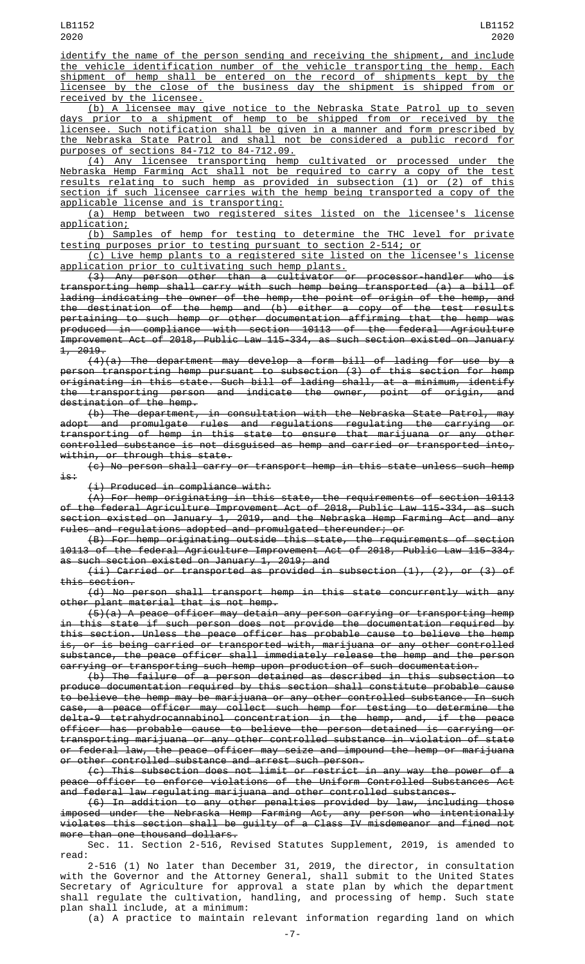identify the name of the person sending and receiving the shipment, and include the vehicle identification number of the vehicle transporting the hemp. Each shipment of hemp shall be entered on the record of shipments kept by the licensee by the close of the business day the shipment is shipped from or received by the licensee.

(b) A licensee may give notice to the Nebraska State Patrol up to seven days prior to a shipment of hemp to be shipped from or received by the licensee. Such notification shall be given in a manner and form prescribed by the Nebraska State Patrol and shall not be considered a public record for purposes of sections 84-712 to 84-712.09.

(4) Any licensee transporting hemp cultivated or processed under the Nebraska Hemp Farming Act shall not be required to carry a copy of the test results relating to such hemp as provided in subsection (1) or (2) of this section if such licensee carries with the hemp being transported a copy of the applicable license and is transporting:

(a) Hemp between two registered sites listed on the licensee's license application;

(b) Samples of hemp for testing to determine the THC level for private testing purposes prior to testing pursuant to section 2-514; or

(c) Live hemp plants to a registered site listed on the licensee's license application prior to cultivating such hemp plants.

(3) Any person other than a cultivator or processor-handler who is transporting hemp shall carry with such hemp being transported (a) a bill of lading indicating the owner of the hemp, the point of origin of the hemp, and the destination of the hemp and (b) either a copy of the test results pertaining to such hemp or other documentation affirming that the hemp was produced in compliance with section 10113 of the federal Agriculture Improvement Act of 2018, Public Law 115-334, as such section existed on January 1, 2019.

(4)(a) The department may develop a form bill of lading for use by a person transporting hemp pursuant to subsection (3) of this section for hemp originating in this state. Such bill of lading shall, at a minimum, identify the transporting person and indicate the owner, point of origin, and destination of the hemp.

(b) The department, in consultation with the Nebraska State Patrol, may adopt and promulgate rules and regulations regulating the carrying or transporting of hemp in this state to ensure that marijuana or any other controlled substance is not disguised as hemp and carried or transported into, within, or through this state.

(c) No person shall carry or transport hemp in this state unless such hemp is:

(i) Produced in compliance with:

 $(A)$  For hemp originating in this state, the requirements of section 10113 of the federal Agriculture Improvement Act of 2018, Public Law 115-334, as such section existed on January 1, 2019, and the Nebraska Hemp Farming Act and any rules and regulations adopted and promulgated thereunder; or

(B) For hemp originating outside this state, the requirements of section 10113 of the federal Agriculture Improvement Act of 2018, Public Law 115-334, as such section existed on January 1, 2019; and

(ii) Carried or transported as provided in subsection (1), (2), or (3) of this section.

(d) No person shall transport hemp in this state concurrently with any other plant material that is not hemp.

(5)(a) A peace officer may detain any person carrying or transporting hemp in this state if such person does not provide the documentation required by this section. Unless the peace officer has probable cause to believe the hemp is, or is being carried or transported with, marijuana or any other controlled substance, the peace officer shall immediately release the hemp and the person carrying or transporting such hemp upon production of such documentation.

(b) The failure of a person detained as described in this subsection to produce documentation required by this section shall constitute probable cause to believe the hemp may be marijuana or any other controlled substance. In such case, a peace officer may collect such hemp for testing to determine the delta-9 tetrahydrocannabinol concentration in the hemp, and, if the peace officer has probable cause to believe the person detained is carrying or transporting marijuana or any other controlled substance in violation of state or federal law, the peace officer may seize and impound the hemp or marijuana or other controlled substance and arrest such person.

(c) This subsection does not limit or restrict in any way the power of a peace officer to enforce violations of the Uniform Controlled Substances Act and federal law regulating marijuana and other controlled substances.

(6) In addition to any other penalties provided by law, including those imposed under the Nebraska Hemp Farming Act, any person who intentionally violates this section shall be guilty of a Class IV misdemeanor and fined not more than one thousand dollars.

Sec. 11. Section 2-516, Revised Statutes Supplement, 2019, is amended to read:

2-516 (1) No later than December 31, 2019, the director, in consultation with the Governor and the Attorney General, shall submit to the United States Secretary of Agriculture for approval a state plan by which the department shall regulate the cultivation, handling, and processing of hemp. Such state plan shall include, at a minimum:

(a) A practice to maintain relevant information regarding land on which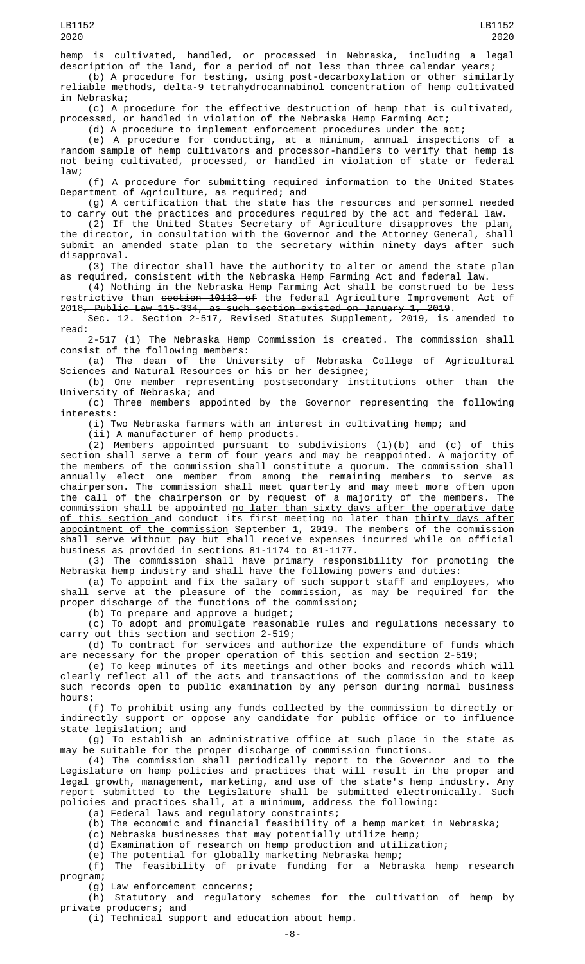hemp is cultivated, handled, or processed in Nebraska, including a legal description of the land, for a period of not less than three calendar years; (b) A procedure for testing, using post-decarboxylation or other similarly

reliable methods, delta-9 tetrahydrocannabinol concentration of hemp cultivated in Nebraska;

(c) A procedure for the effective destruction of hemp that is cultivated, processed, or handled in violation of the Nebraska Hemp Farming Act;

(d) A procedure to implement enforcement procedures under the act;

(e) A procedure for conducting, at a minimum, annual inspections of a random sample of hemp cultivators and processor-handlers to verify that hemp is not being cultivated, processed, or handled in violation of state or federal law;

(f) A procedure for submitting required information to the United States Department of Agriculture, as required; and

(g) A certification that the state has the resources and personnel needed to carry out the practices and procedures required by the act and federal law.

(2) If the United States Secretary of Agriculture disapproves the plan, the director, in consultation with the Governor and the Attorney General, shall submit an amended state plan to the secretary within ninety days after such disapproval.

(3) The director shall have the authority to alter or amend the state plan as required, consistent with the Nebraska Hemp Farming Act and federal law.

(4) Nothing in the Nebraska Hemp Farming Act shall be construed to be less restrictive than <del>section 10113 of</del> the federal Agriculture Improvement Act of 2018, Public Law 115-334, as such section existed on January 1, 2019.

Sec. 12. Section 2-517, Revised Statutes Supplement, 2019, is amended to read:

2-517 (1) The Nebraska Hemp Commission is created. The commission shall consist of the following members:

(a) The dean of the University of Nebraska College of Agricultural Sciences and Natural Resources or his or her designee;

(b) One member representing postsecondary institutions other than the University of Nebraska; and

(c) Three members appointed by the Governor representing the following interests:

(i) Two Nebraska farmers with an interest in cultivating hemp; and

(ii) A manufacturer of hemp products.

(2) Members appointed pursuant to subdivisions (1)(b) and (c) of this section shall serve a term of four years and may be reappointed. A majority of the members of the commission shall constitute a quorum. The commission shall annually elect one member from among the remaining members to serve as chairperson. The commission shall meet quarterly and may meet more often upon the call of the chairperson or by request of a majority of the members. The commission shall be appointed <u>no later than sixty days after the operative date</u> <u>of this section </u>and conduct its first meeting no later than <u>thirty days after</u> appointment of the commission September 1, 2019. The members of the commission shall serve without pay but shall receive expenses incurred while on official business as provided in sections 81-1174 to 81-1177.

(3) The commission shall have primary responsibility for promoting the Nebraska hemp industry and shall have the following powers and duties:

(a) To appoint and fix the salary of such support staff and employees, who shall serve at the pleasure of the commission, as may be required for the proper discharge of the functions of the commission;

(b) To prepare and approve a budget;

(c) To adopt and promulgate reasonable rules and regulations necessary to carry out this section and section 2-519;

(d) To contract for services and authorize the expenditure of funds which are necessary for the proper operation of this section and section 2-519;

(e) To keep minutes of its meetings and other books and records which will clearly reflect all of the acts and transactions of the commission and to keep such records open to public examination by any person during normal business hours;

(f) To prohibit using any funds collected by the commission to directly or indirectly support or oppose any candidate for public office or to influence state legislation; and

(g) To establish an administrative office at such place in the state as may be suitable for the proper discharge of commission functions.

(4) The commission shall periodically report to the Governor and to the Legislature on hemp policies and practices that will result in the proper and legal growth, management, marketing, and use of the state's hemp industry. Any report submitted to the Legislature shall be submitted electronically. Such policies and practices shall, at a minimum, address the following:

(a) Federal laws and regulatory constraints;

(b) The economic and financial feasibility of a hemp market in Nebraska;

(c) Nebraska businesses that may potentially utilize hemp;

(d) Examination of research on hemp production and utilization;

(e) The potential for globally marketing Nebraska hemp;

(f) The feasibility of private funding for a Nebraska hemp research program;

(g) Law enforcement concerns;

(h) Statutory and regulatory schemes for the cultivation of hemp by private producers; and

(i) Technical support and education about hemp.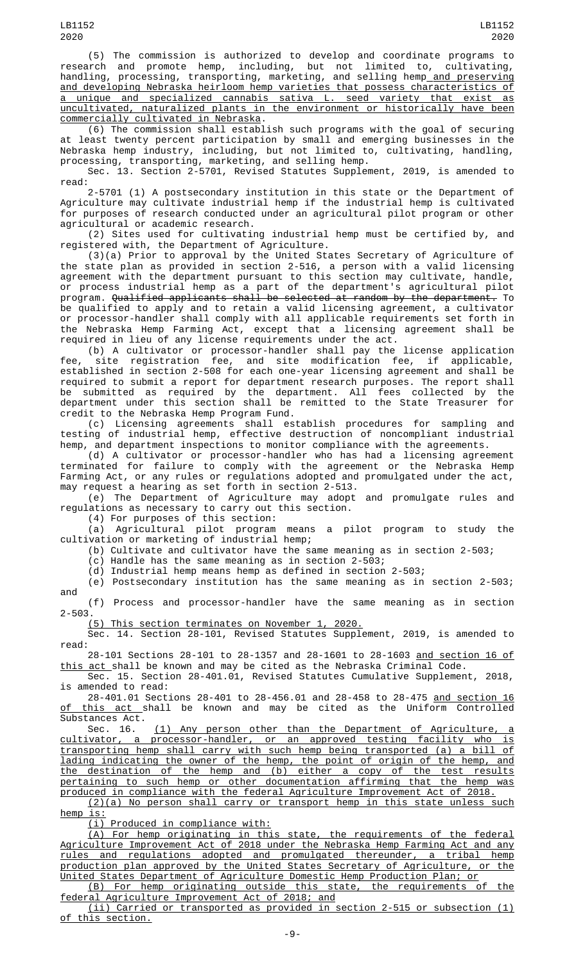(5) The commission is authorized to develop and coordinate programs to research and promote hemp, including, but not limited to, cultivating, handling, processing, transporting, marketing, and selling hemp<u> and preserving</u> and developing Nebraska heirloom hemp varieties that possess characteristics of a unique and specialized cannabis sativa L. seed variety that exist as uncultivated, naturalized plants in the environment or historically have been commercially cultivated in Nebraska.

(6) The commission shall establish such programs with the goal of securing at least twenty percent participation by small and emerging businesses in the Nebraska hemp industry, including, but not limited to, cultivating, handling, processing, transporting, marketing, and selling hemp.

Sec. 13. Section 2-5701, Revised Statutes Supplement, 2019, is amended to read:

2-5701 (1) A postsecondary institution in this state or the Department of Agriculture may cultivate industrial hemp if the industrial hemp is cultivated for purposes of research conducted under an agricultural pilot program or other agricultural or academic research.

(2) Sites used for cultivating industrial hemp must be certified by, and registered with, the Department of Agriculture.

(3)(a) Prior to approval by the United States Secretary of Agriculture of the state plan as provided in section 2-516, a person with a valid licensing agreement with the department pursuant to this section may cultivate, handle, or process industrial hemp as a part of the department's agricultural pilot program. <del>Qualified applicants shall be selected at random by the department.</del> To be qualified to apply and to retain a valid licensing agreement, a cultivator or processor-handler shall comply with all applicable requirements set forth in the Nebraska Hemp Farming Act, except that a licensing agreement shall be required in lieu of any license requirements under the act.

(b) A cultivator or processor-handler shall pay the license application fee, site registration fee, and site modification fee, if applicable, established in section 2-508 for each one-year licensing agreement and shall be required to submit a report for department research purposes. The report shall be submitted as required by the department. All fees collected by the department under this section shall be remitted to the State Treasurer for credit to the Nebraska Hemp Program Fund.

(c) Licensing agreements shall establish procedures for sampling and testing of industrial hemp, effective destruction of noncompliant industrial testing of industrial hemp, effective destruction of noncompliant industrial hemp, and department inspections to monitor compliance with the agreements.

(d) A cultivator or processor-handler who has had a licensing agreement terminated for failure to comply with the agreement or the Nebraska Hemp Farming Act, or any rules or regulations adopted and promulgated under the act, may request a hearing as set forth in section 2-513.

(e) The Department of Agriculture may adopt and promulgate rules and regulations as necessary to carry out this section.

(4) For purposes of this section:

(a) Agricultural pilot program means a pilot program to study the cultivation or marketing of industrial hemp;

(b) Cultivate and cultivator have the same meaning as in section 2-503;

(c) Handle has the same meaning as in section 2-503;

(d) Industrial hemp means hemp as defined in section 2-503;

(e) Postsecondary institution has the same meaning as in section 2-503; and

(f) Process and processor-handler have the same meaning as in section 2-503.

(5) This section terminates on November 1, 2020.

Sec. 14. Section 28-101, Revised Statutes Supplement, 2019, is amended to read:

28-101 Sections 28-101 to 28-1357 and 28-1601 to 28-1603 and section 16 of <u>this act </u>shall be known and may be cited as the Nebraska Criminal Code.

Sec. 15. Section 28-401.01, Revised Statutes Cumulative Supplement, 2018, is amended to read:

28-401.01 Sections 28-401 to 28-456.01 and 28-458 to 28-475 and section 16 <u>of this act </u>shall be known and may be cited as the Uniform Controlled Substances Act.

Sec. 16. <u>(1) Any person other than the Department of Agriculture, a</u> cultivator, a processor-handler, or an approved testing facility who is transporting hemp shall carry with such hemp being transported (a) a bill of lading indicating the owner of the hemp, the point of origin of the hemp, and the destination of the hemp and (b) either a copy of the test results pertaining to such hemp or other documentation affirming that the hemp was produced in compliance with the federal Agriculture Improvement Act of 2018.

(2)(a) No person shall carry or transport hemp in this state unless such hemp is:

(i) Produced in compliance with:

(A) For hemp originating in this state, the requirements of the federal Agriculture Improvement Act of 2018 under the Nebraska Hemp Farming Act and any rules and regulations adopted and promulgated thereunder, a tribal hemp production plan approved by the United States Secretary of Agriculture, or the United States Department of Agriculture Domestic Hemp Production Plan; or

(B) For hemp originating outside this state, the requirements of the federal Agriculture Improvement Act of 2018; and

(ii) Carried or transported as provided in section 2-515 or subsection (1) of this section.